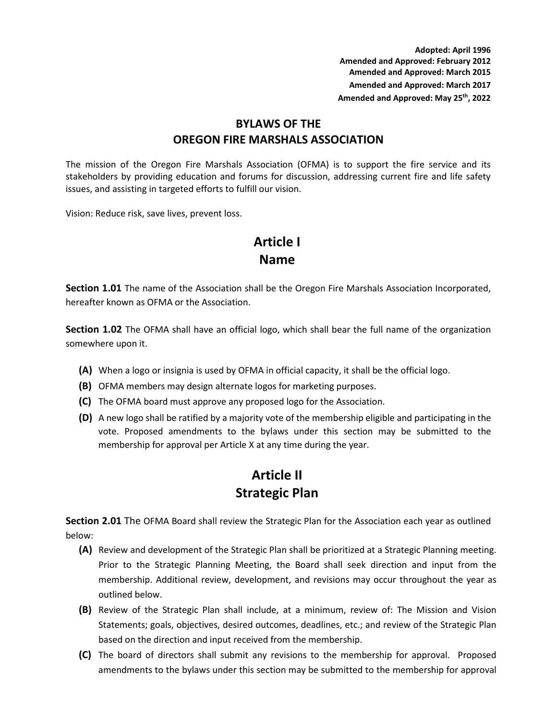**Adopted: April 1996 Amended and Approved: February 2012 Amended and Approved: March 2015 Amended and Approved: March 2017 Amended and Approved: May 25th, 2022**

#### **BYLAWS OF THE OREGON FIRE MARSHALS ASSOCIATION**

The mission of the Oregon Fire Marshals Association (OFMA) is to support the fire service and its stakeholders by providing education and forums for discussion, addressing current fire and life safety issues, and assisting in targeted efforts to fulfill our vision.

Vision: Reduce risk, save lives, prevent loss.

# **Article I Name**

**Section 1.01** The name of the Association shall be the Oregon Fire Marshals Association Incorporated, hereafter known as OFMA or the Association.

**Section 1.02** The OFMA shall have an official logo, which shall bear the full name of the organization somewhere upon it.

- **(A)** When a logo or insignia is used by OFMA in official capacity, it shall be the official logo.
- **(B)** OFMA members may design alternate logos for marketing purposes.
- **(C)** The OFMA board must approve any proposed logo for the Association.
- **(D)** A new logo shall be ratified by a majority vote of the membership eligible and participating in the vote. Proposed amendments to the bylaws under this section may be submitted to the membership for approval per Article X at any time during the year.

# **Article II Strategic Plan**

**Section 2.01** The OFMA Board shall review the Strategic Plan for the Association each year as outlined below:

- **(A)** Review and development of the Strategic Plan shall be prioritized at a Strategic Planning meeting. Prior to the Strategic Planning Meeting, the Board shall seek direction and input from the membership. Additional review, development, and revisions may occur throughout the year as outlined below.
- **(B)** Review of the Strategic Plan shall include, at a minimum, review of: The Mission and Vision Statements; goals, objectives, desired outcomes, deadlines, etc.; and review of the Strategic Plan based on the direction and input received from the membership.
- **(C)** The board of directors shall submit any revisions to the membership for approval. Proposed amendments to the bylaws under this section may be submitted to the membership for approval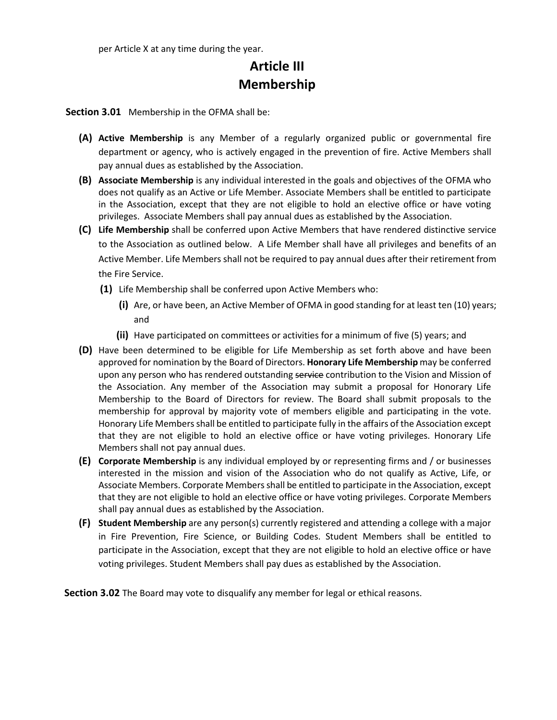per Article X at any time during the year.

# **Article III Membership**

**Section 3.01** Membership in the OFMA shall be:

- **(A) Active Membership** is any Member of a regularly organized public or governmental fire department or agency, who is actively engaged in the prevention of fire. Active Members shall pay annual dues as established by the Association.
- **(B) Associate Membership** is any individual interested in the goals and objectives of the OFMA who does not qualify as an Active or Life Member. Associate Members shall be entitled to participate in the Association, except that they are not eligible to hold an elective office or have voting privileges. Associate Members shall pay annual dues as established by the Association.
- **(C) Life Membership** shall be conferred upon Active Members that have rendered distinctive service to the Association as outlined below. A Life Member shall have all privileges and benefits of an Active Member. Life Members shall not be required to pay annual dues after their retirement from the Fire Service.
	- **(1)** Life Membership shall be conferred upon Active Members who:
		- **(i)** Are, or have been, an Active Member of OFMA in good standing for at least ten (10) years; and
		- **(ii)** Have participated on committees or activities for a minimum of five (5) years; and
- **(D)** Have been determined to be eligible for Life Membership as set forth above and have been approved for nomination by the Board of Directors. **Honorary Life Membership** may be conferred upon any person who has rendered outstanding service contribution to the Vision and Mission of the Association. Any member of the Association may submit a proposal for Honorary Life Membership to the Board of Directors for review. The Board shall submit proposals to the membership for approval by majority vote of members eligible and participating in the vote. Honorary Life Members shall be entitled to participate fully in the affairs of the Association except that they are not eligible to hold an elective office or have voting privileges. Honorary Life Members shall not pay annual dues.
- **(E) Corporate Membership** is any individual employed by or representing firms and / or businesses interested in the mission and vision of the Association who do not qualify as Active, Life, or Associate Members. Corporate Members shall be entitled to participate in the Association, except that they are not eligible to hold an elective office or have voting privileges. Corporate Members shall pay annual dues as established by the Association.
- **(F) Student Membership** are any person(s) currently registered and attending a college with a major in Fire Prevention, Fire Science, or Building Codes. Student Members shall be entitled to participate in the Association, except that they are not eligible to hold an elective office or have voting privileges. Student Members shall pay dues as established by the Association.

**Section 3.02** The Board may vote to disqualify any member for legal or ethical reasons.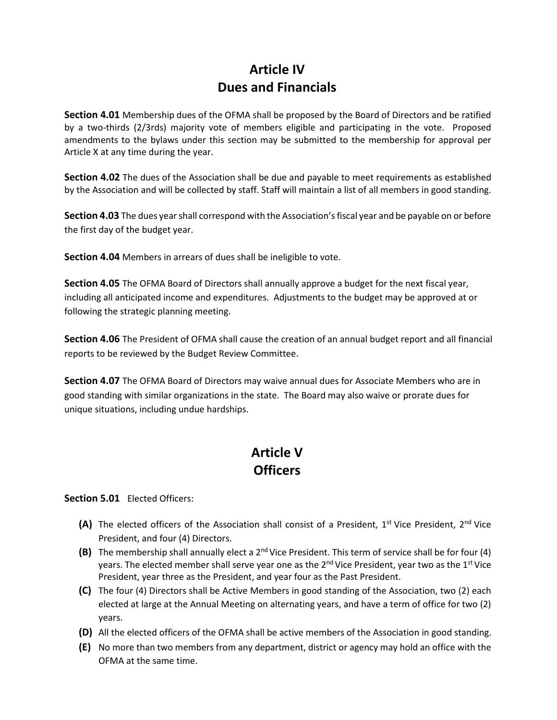# **Article IV Dues and Financials**

**Section 4.01** Membership dues of the OFMA shall be proposed by the Board of Directors and be ratified by a two-thirds (2/3rds) majority vote of members eligible and participating in the vote. Proposed amendments to the bylaws under this section may be submitted to the membership for approval per Article X at any time during the year.

**Section 4.02** The dues of the Association shall be due and payable to meet requirements as established by the Association and will be collected by staff. Staff will maintain a list of all members in good standing.

**Section 4.03** The dues year shall correspond with the Association's fiscal year and be payable on or before the first day of the budget year.

**Section 4.04** Members in arrears of dues shall be ineligible to vote.

**Section 4.05** The OFMA Board of Directors shall annually approve a budget for the next fiscal year, including all anticipated income and expenditures. Adjustments to the budget may be approved at or following the strategic planning meeting.

**Section 4.06** The President of OFMA shall cause the creation of an annual budget report and all financial reports to be reviewed by the Budget Review Committee.

**Section 4.07** The OFMA Board of Directors may waive annual dues for Associate Members who are in good standing with similar organizations in the state. The Board may also waive or prorate dues for unique situations, including undue hardships.

# **Article V Officers**

**Section 5.01** Elected Officers:

- (A) The elected officers of the Association shall consist of a President, 1<sup>st</sup> Vice President, 2<sup>nd</sup> Vice President, and four (4) Directors.
- **(B)** The membership shall annually elect a 2nd Vice President. This term of service shall be for four (4) years. The elected member shall serve year one as the  $2^{nd}$  Vice President, year two as the  $1^{st}$  Vice President, year three as the President, and year four as the Past President.
- **(C)** The four (4) Directors shall be Active Members in good standing of the Association, two (2) each elected at large at the Annual Meeting on alternating years, and have a term of office for two (2) years.
- **(D)** All the elected officers of the OFMA shall be active members of the Association in good standing.
- **(E)** No more than two members from any department, district or agency may hold an office with the OFMA at the same time.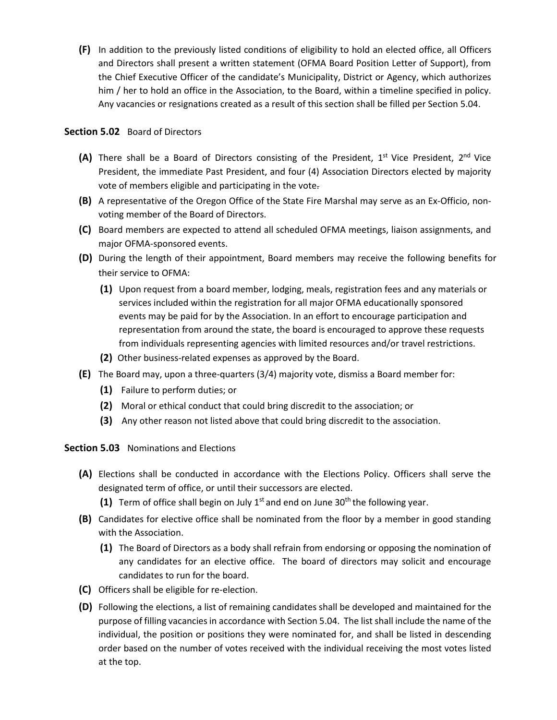**(F)** In addition to the previously listed conditions of eligibility to hold an elected office, all Officers and Directors shall present a written statement (OFMA Board Position Letter of Support), from the Chief Executive Officer of the candidate's Municipality, District or Agency, which authorizes him / her to hold an office in the Association, to the Board, within a timeline specified in policy. Any vacancies or resignations created as a result of this section shall be filled per Section 5.04.

#### **Section 5.02** Board of Directors

- (A) There shall be a Board of Directors consisting of the President, 1<sup>st</sup> Vice President, 2<sup>nd</sup> Vice President, the immediate Past President, and four (4) Association Directors elected by majority vote of members eligible and participating in the vote.
- **(B)** A representative of the Oregon Office of the State Fire Marshal may serve as an Ex-Officio, nonvoting member of the Board of Directors.
- **(C)** Board members are expected to attend all scheduled OFMA meetings, liaison assignments, and major OFMA-sponsored events.
- **(D)** During the length of their appointment, Board members may receive the following benefits for their service to OFMA:
	- **(1)** Upon request from a board member, lodging, meals, registration fees and any materials or services included within the registration for all major OFMA educationally sponsored events may be paid for by the Association. In an effort to encourage participation and representation from around the state, the board is encouraged to approve these requests from individuals representing agencies with limited resources and/or travel restrictions.
	- **(2)** Other business-related expenses as approved by the Board.
- **(E)** The Board may, upon a three-quarters (3/4) majority vote, dismiss a Board member for:
	- **(1)** Failure to perform duties; or
	- **(2)** Moral or ethical conduct that could bring discredit to the association; or
	- **(3)** Any other reason not listed above that could bring discredit to the association.

**Section 5.03** Nominations and Elections

- **(A)** Elections shall be conducted in accordance with the Elections Policy. Officers shall serve the designated term of office, or until their successors are elected.
	- **(1)** Term of office shall begin on July  $1<sup>st</sup>$  and end on June  $30<sup>th</sup>$  the following year.
- **(B)** Candidates for elective office shall be nominated from the floor by a member in good standing with the Association.
	- **(1)** The Board of Directors as a body shall refrain from endorsing or opposing the nomination of any candidates for an elective office. The board of directors may solicit and encourage candidates to run for the board.
- **(C)** Officers shall be eligible for re-election.
- **(D)** Following the elections, a list of remaining candidates shall be developed and maintained for the purpose of filling vacancies in accordance with Section 5.04. The list shall include the name of the individual, the position or positions they were nominated for, and shall be listed in descending order based on the number of votes received with the individual receiving the most votes listed at the top.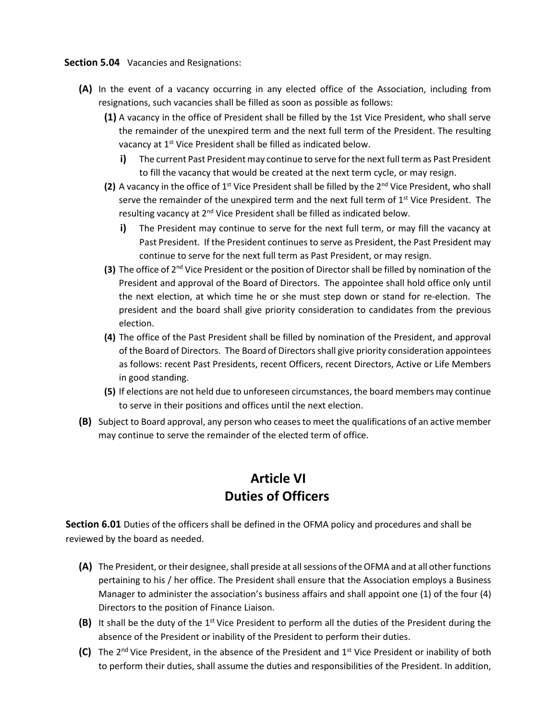**Section 5.04** Vacancies and Resignations:

- **(A)** In the event of a vacancy occurring in any elected office of the Association, including from resignations, such vacancies shall be filled as soon as possible as follows:
	- **(1)** A vacancy in the office of President shall be filled by the 1st Vice President, who shall serve the remainder of the unexpired term and the next full term of the President. The resulting vacancy at 1<sup>st</sup> Vice President shall be filled as indicated below.
		- **i)** The current Past President may continue to serve for the next full term as Past President to fill the vacancy that would be created at the next term cycle, or may resign.
	- (2) A vacancy in the office of 1<sup>st</sup> Vice President shall be filled by the 2<sup>nd</sup> Vice President, who shall serve the remainder of the unexpired term and the next full term of  $1<sup>st</sup>$  Vice President. The resulting vacancy at 2<sup>nd</sup> Vice President shall be filled as indicated below.
		- **i)** The President may continue to serve for the next full term, or may fill the vacancy at Past President. If the President continues to serve as President, the Past President may continue to serve for the next full term as Past President, or may resign.
	- **(3)** The office of 2<sup>nd</sup> Vice President or the position of Director shall be filled by nomination of the President and approval of the Board of Directors. The appointee shall hold office only until the next election, at which time he or she must step down or stand for re-election. The president and the board shall give priority consideration to candidates from the previous election.
	- **(4)** The office of the Past President shall be filled by nomination of the President, and approval of the Board of Directors. The Board of Directors shall give priority consideration appointees as follows: recent Past Presidents, recent Officers, recent Directors, Active or Life Members in good standing.
	- **(5)** If elections are not held due to unforeseen circumstances, the board members may continue to serve in their positions and offices until the next election.
- **(B)** Subject to Board approval, any person who ceases to meet the qualifications of an active member may continue to serve the remainder of the elected term of office.

### **Article VI Duties of Officers**

**Section 6.01** Duties of the officers shall be defined in the OFMA policy and procedures and shall be reviewed by the board as needed.

- **(A)** The President, or their designee, shall preside at all sessions of the OFMA and at all other functions pertaining to his / her office. The President shall ensure that the Association employs a Business Manager to administer the association's business affairs and shall appoint one (1) of the four (4) Directors to the position of Finance Liaison.
- **(B)** It shall be the duty of the 1st Vice President to perform all the duties of the President during the absence of the President or inability of the President to perform their duties.
- **(C)** The 2<sup>nd</sup> Vice President, in the absence of the President and 1<sup>st</sup> Vice President or inability of both to perform their duties, shall assume the duties and responsibilities of the President. In addition,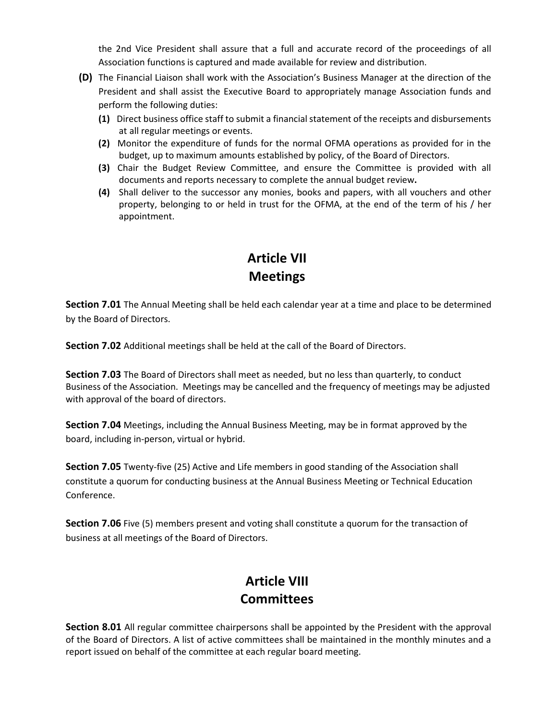the 2nd Vice President shall assure that a full and accurate record of the proceedings of all Association functions is captured and made available for review and distribution.

- **(D)** The Financial Liaison shall work with the Association's Business Manager at the direction of the President and shall assist the Executive Board to appropriately manage Association funds and perform the following duties:
	- **(1)** Direct business office staff to submit a financial statement of the receipts and disbursements at all regular meetings or events.
	- **(2)** Monitor the expenditure of funds for the normal OFMA operations as provided for in the budget, up to maximum amounts established by policy, of the Board of Directors.
	- **(3)** Chair the Budget Review Committee, and ensure the Committee is provided with all documents and reports necessary to complete the annual budget review**.**
	- **(4)** Shall deliver to the successor any monies, books and papers, with all vouchers and other property, belonging to or held in trust for the OFMA, at the end of the term of his / her appointment.

# **Article VII Meetings**

**Section 7.01** The Annual Meeting shall be held each calendar year at a time and place to be determined by the Board of Directors.

**Section 7.02** Additional meetings shall be held at the call of the Board of Directors.

**Section 7.03** The Board of Directors shall meet as needed, but no less than quarterly, to conduct Business of the Association. Meetings may be cancelled and the frequency of meetings may be adjusted with approval of the board of directors.

**Section 7.04** Meetings, including the Annual Business Meeting, may be in format approved by the board, including in-person, virtual or hybrid.

**Section 7.05** Twenty-five (25) Active and Life members in good standing of the Association shall constitute a quorum for conducting business at the Annual Business Meeting or Technical Education Conference.

**Section 7.06** Five (5) members present and voting shall constitute a quorum for the transaction of business at all meetings of the Board of Directors.

# **Article VIII Committees**

**Section 8.01** All regular committee chairpersons shall be appointed by the President with the approval of the Board of Directors. A list of active committees shall be maintained in the monthly minutes and a report issued on behalf of the committee at each regular board meeting.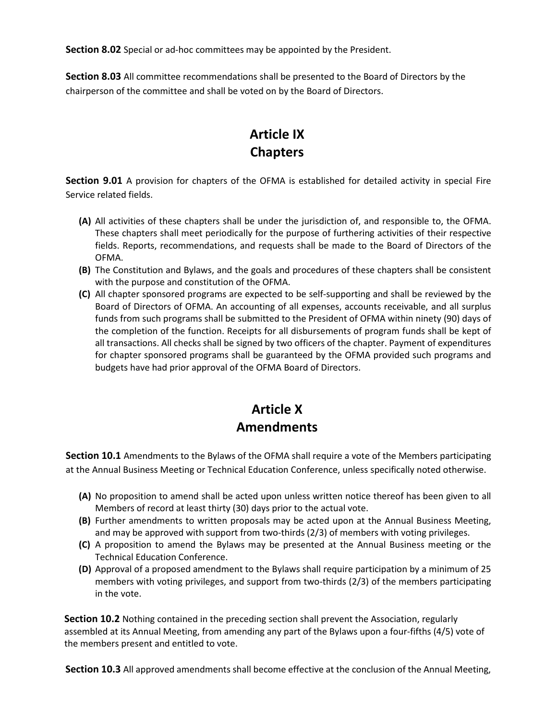**Section 8.02** Special or ad-hoc committees may be appointed by the President.

**Section 8.03** All committee recommendations shall be presented to the Board of Directors by the chairperson of the committee and shall be voted on by the Board of Directors.

# **Article IX Chapters**

**Section 9.01** A provision for chapters of the OFMA is established for detailed activity in special Fire Service related fields.

- **(A)** All activities of these chapters shall be under the jurisdiction of, and responsible to, the OFMA. These chapters shall meet periodically for the purpose of furthering activities of their respective fields. Reports, recommendations, and requests shall be made to the Board of Directors of the OFMA.
- **(B)** The Constitution and Bylaws, and the goals and procedures of these chapters shall be consistent with the purpose and constitution of the OFMA.
- **(C)** All chapter sponsored programs are expected to be self-supporting and shall be reviewed by the Board of Directors of OFMA. An accounting of all expenses, accounts receivable, and all surplus funds from such programs shall be submitted to the President of OFMA within ninety (90) days of the completion of the function. Receipts for all disbursements of program funds shall be kept of all transactions. All checks shall be signed by two officers of the chapter. Payment of expenditures for chapter sponsored programs shall be guaranteed by the OFMA provided such programs and budgets have had prior approval of the OFMA Board of Directors.

# **Article X Amendments**

**Section 10.1** Amendments to the Bylaws of the OFMA shall require a vote of the Members participating at the Annual Business Meeting or Technical Education Conference, unless specifically noted otherwise.

- **(A)** No proposition to amend shall be acted upon unless written notice thereof has been given to all Members of record at least thirty (30) days prior to the actual vote.
- **(B)** Further amendments to written proposals may be acted upon at the Annual Business Meeting, and may be approved with support from two-thirds (2/3) of members with voting privileges.
- **(C)** A proposition to amend the Bylaws may be presented at the Annual Business meeting or the Technical Education Conference.
- **(D)** Approval of a proposed amendment to the Bylaws shall require participation by a minimum of 25 members with voting privileges, and support from two-thirds (2/3) of the members participating in the vote.

**Section 10.2** Nothing contained in the preceding section shall prevent the Association, regularly assembled at its Annual Meeting, from amending any part of the Bylaws upon a four-fifths (4/5) vote of the members present and entitled to vote.

**Section 10.3** All approved amendments shall become effective at the conclusion of the Annual Meeting,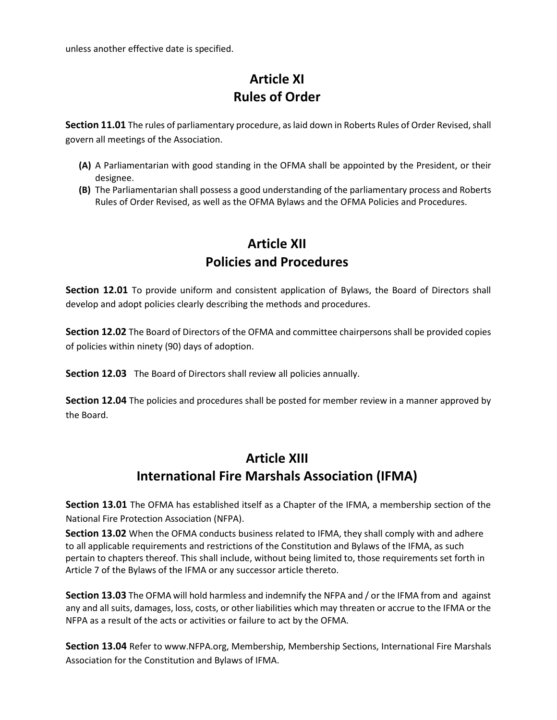unless another effective date is specified.

# **Article XI Rules of Order**

**Section 11.01** The rules of parliamentary procedure, as laid down in Roberts Rules of Order Revised, shall govern all meetings of the Association.

- **(A)** A Parliamentarian with good standing in the OFMA shall be appointed by the President, or their designee.
- **(B)** The Parliamentarian shall possess a good understanding of the parliamentary process and Roberts Rules of Order Revised, as well as the OFMA Bylaws and the OFMA Policies and Procedures.

## **Article XII Policies and Procedures**

**Section 12.01** To provide uniform and consistent application of Bylaws, the Board of Directors shall develop and adopt policies clearly describing the methods and procedures.

**Section 12.02** The Board of Directors of the OFMA and committee chairpersons shall be provided copies of policies within ninety (90) days of adoption.

**Section 12.03** The Board of Directors shall review all policies annually.

**Section 12.04** The policies and procedures shall be posted for member review in a manner approved by the Board.

## **Article XIII International Fire Marshals Association (IFMA)**

**Section 13.01** The OFMA has established itself as a Chapter of the IFMA, a membership section of the National Fire Protection Association (NFPA).

**Section 13.02** When the OFMA conducts business related to IFMA, they shall comply with and adhere to all applicable requirements and restrictions of the Constitution and Bylaws of the IFMA, as such pertain to chapters thereof. This shall include, without being limited to, those requirements set forth in Article 7 of the Bylaws of the IFMA or any successor article thereto.

**Section 13.03** The OFMA will hold harmless and indemnify the NFPA and / or the IFMA from and against any and all suits, damages, loss, costs, or other liabilities which may threaten or accrue to the IFMA or the NFPA as a result of the acts or activities or failure to act by the OFMA.

**Section 13.04** Refer to [www.NFPA.org,](http://null/) Membership, Membership Sections, International Fire Marshals Association for the Constitution and Bylaws of IFMA.